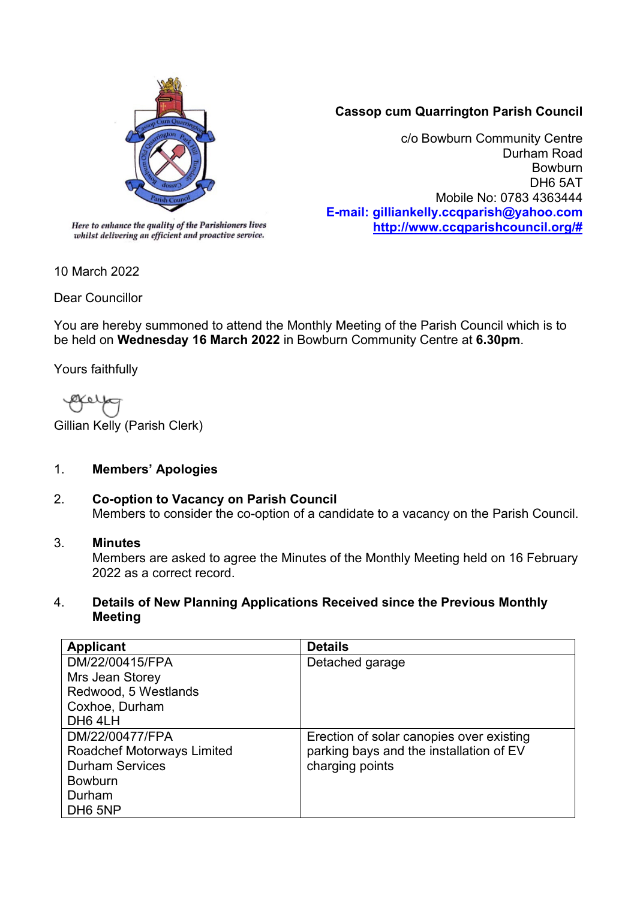

# **Cassop cum Quarrington Parish Council**

c/o Bowburn Community Centre Durham Road Bowburn DH6 5AT Mobile No: 0783 4363444 **E-mail: gilliankelly.ccqparish@yahoo.com [http://www.ccqparishcouncil.org/#](http://www.ccqparishcouncil.org/)**

whilst delivering an efficient and proactive service.

10 March 2022

Dear Councillor

You are hereby summoned to attend the Monthly Meeting of the Parish Council which is to be held on **Wednesday 16 March 2022** in Bowburn Community Centre at **6.30pm**.

Yours faithfully

Ø¥ 6 I

Gillian Kelly (Parish Clerk)

# 1. **Members' Apologies**

2. **Co-option to Vacancy on Parish Council** Members to consider the co-option of a candidate to a vacancy on the Parish Council.

# 3. **Minutes**

Members are asked to agree the Minutes of the Monthly Meeting held on 16 February 2022 as a correct record.

### 4. **Details of New Planning Applications Received since the Previous Monthly Meeting**

| <b>Applicant</b>                  | <b>Details</b>                           |
|-----------------------------------|------------------------------------------|
| DM/22/00415/FPA                   | Detached garage                          |
| Mrs Jean Storey                   |                                          |
| Redwood, 5 Westlands              |                                          |
| Coxhoe, Durham                    |                                          |
| DH6 4LH                           |                                          |
| DM/22/00477/FPA                   | Erection of solar canopies over existing |
| <b>Roadchef Motorways Limited</b> | parking bays and the installation of EV  |
| <b>Durham Services</b>            | charging points                          |
| <b>Bowburn</b>                    |                                          |
| Durham                            |                                          |
| DH <sub>6</sub> 5NP               |                                          |